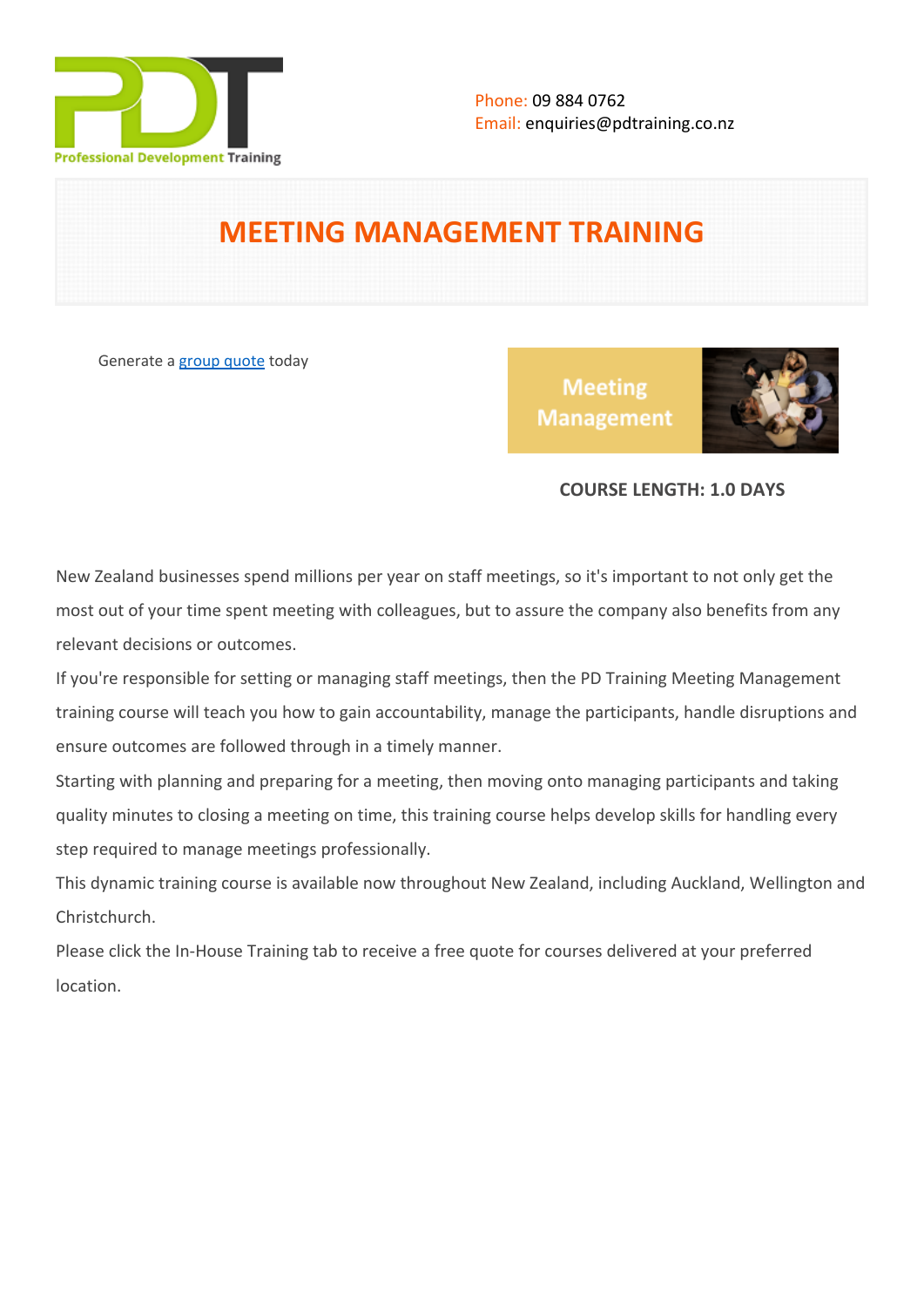

# **MEETING MANAGEMENT TRAINING**

Generate a [group quote](https://pdtraining.co.nz/inhouse-training-quote?cse=PDT0015) today

**Meeting Management** 



# **COURSE LENGTH: 1.0 DAYS**

New Zealand businesses spend millions per year on staff meetings, so it's important to not only get the most out of your time spent meeting with colleagues, but to assure the company also benefits from any relevant decisions or outcomes.

If you're responsible for setting or managing staff meetings, then the PD Training Meeting Management training course will teach you how to gain accountability, manage the participants, handle disruptions and ensure outcomes are followed through in a timely manner.

Starting with planning and preparing for a meeting, then moving onto managing participants and taking quality minutes to closing a meeting on time, this training course helps develop skills for handling every step required to manage meetings professionally.

This dynamic training course is available now throughout New Zealand, including Auckland, Wellington and Christchurch.

Please click the In-House Training tab to receive a free quote for courses delivered at your preferred location.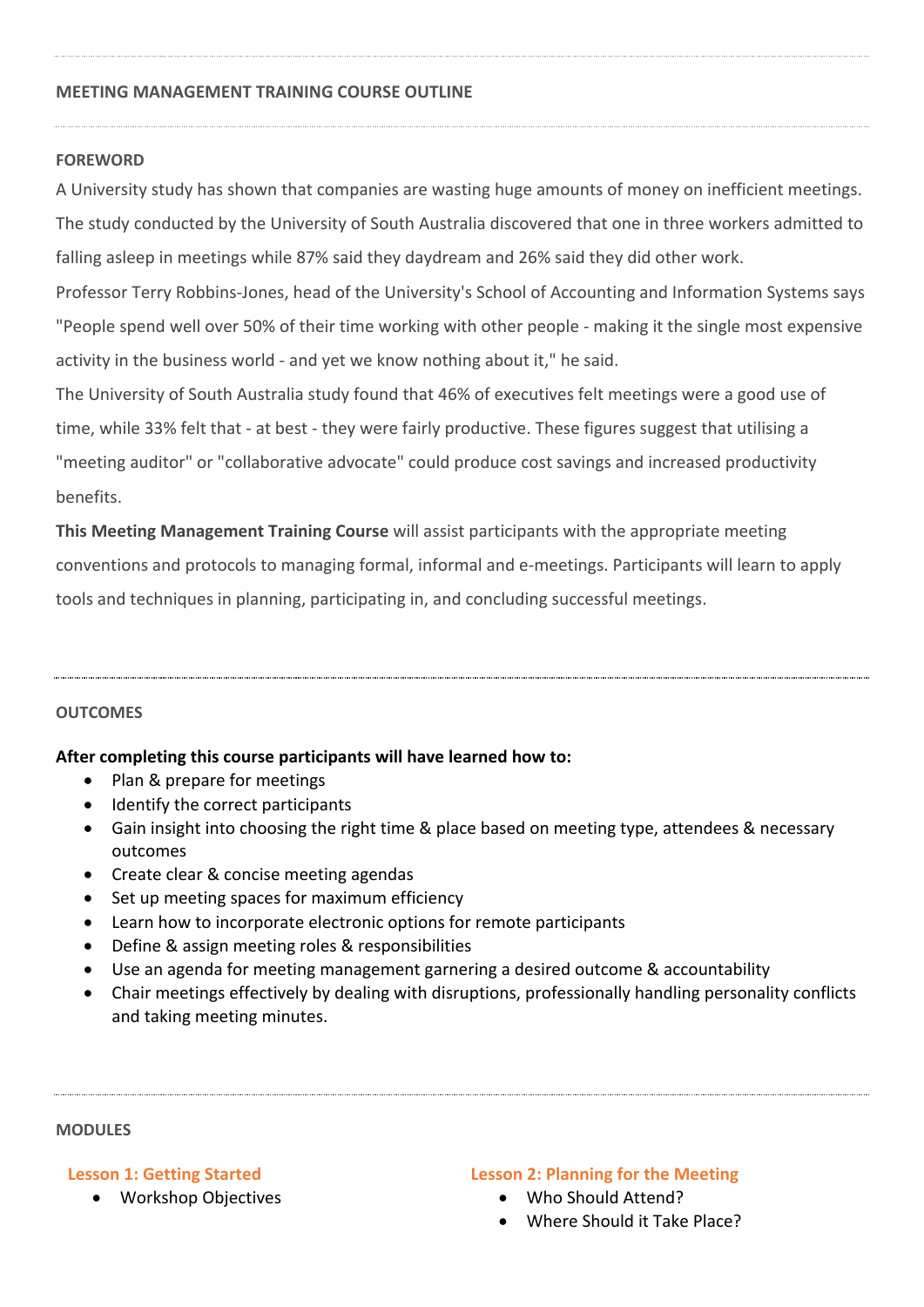#### **MEETING MANAGEMENT TRAINING COURSE OUTLINE**

#### **FOREWORD**

A University study has shown that companies are wasting huge amounts of money on inefficient meetings.

The study conducted by the University of South Australia discovered that one in three workers admitted to falling asleep in meetings while 87% said they daydream and 26% said they did other work.

Professor Terry Robbins-Jones, head of the University's School of Accounting and Information Systems says "People spend well over 50% of their time working with other people - making it the single most expensive activity in the business world - and yet we know nothing about it," he said.

The University of South Australia study found that 46% of executives felt meetings were a good use of time, while 33% felt that - at best - they were fairly productive. These figures suggest that utilising a "meeting auditor" or "collaborative advocate" could produce cost savings and increased productivity benefits.

**This Meeting Management Training Course** will assist participants with the appropriate meeting conventions and protocols to managing formal, informal and e-meetings. Participants will learn to apply tools and techniques in planning, participating in, and concluding successful meetings.

## **OUTCOMES**

**After completing this course participants will have learned how to:**

- Plan & prepare for meetings
- Identify the correct participants
- Gain insight into choosing the right time & place based on meeting type, attendees & necessary outcomes
- Create clear & concise meeting agendas
- Set up meeting spaces for maximum efficiency
- Learn how to incorporate electronic options for remote participants
- Define & assign meeting roles & responsibilities
- Use an agenda for meeting management garnering a desired outcome & accountability
- Chair meetings effectively by dealing with disruptions, professionally handling personality conflicts and taking meeting minutes.

#### **MODULES**

**Lesson 1: Getting Started**

Workshop Objectives

#### **Lesson 2: Planning for the Meeting**

- Who Should Attend?
- Where Should it Take Place?